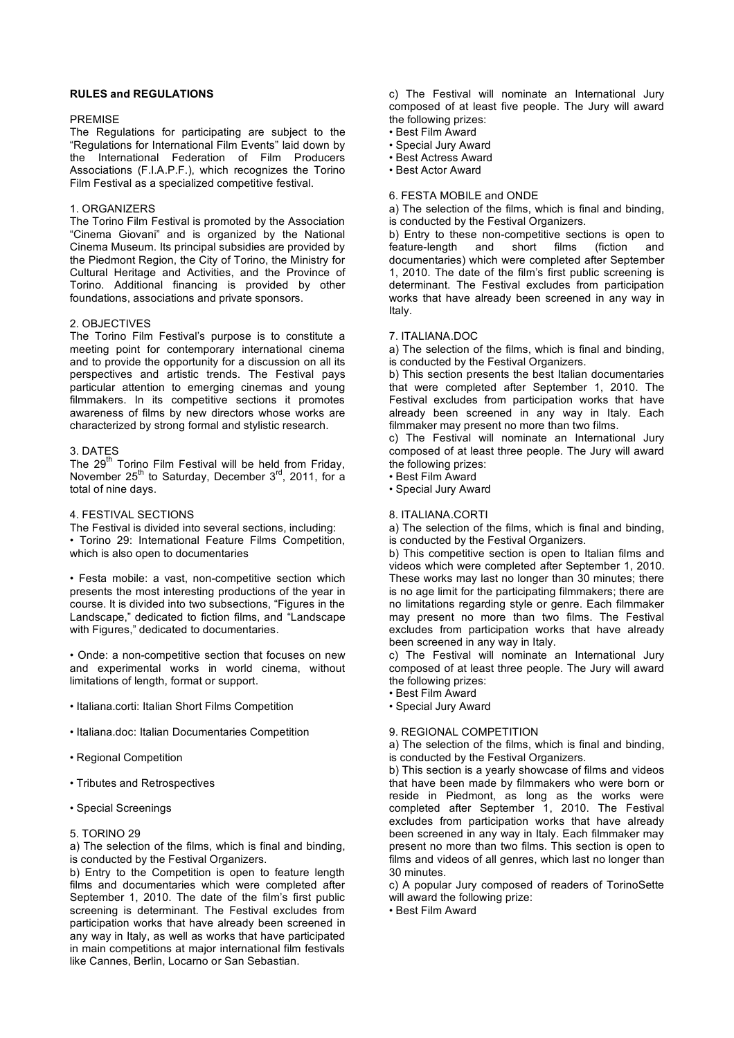# **RULES and REGULATIONS**

### PREMISE

The Regulations for participating are subject to the "Regulations for International Film Events" laid down by the International Federation of Film Producers Associations (F.I.A.P.F.), which recognizes the Torino Film Festival as a specialized competitive festival.

## 1. ORGANIZERS

The Torino Film Festival is promoted by the Association "Cinema Giovani" and is organized by the National Cinema Museum. Its principal subsidies are provided by the Piedmont Region, the City of Torino, the Ministry for Cultural Heritage and Activities, and the Province of Torino. Additional financing is provided by other foundations, associations and private sponsors.

# 2. OBJECTIVES

The Torino Film Festival's purpose is to constitute a meeting point for contemporary international cinema and to provide the opportunity for a discussion on all its perspectives and artistic trends. The Festival pays particular attention to emerging cinemas and young filmmakers. In its competitive sections it promotes awareness of films by new directors whose works are characterized by strong formal and stylistic research.

## 3. DATES

The 29<sup>th</sup> Torino Film Festival will be held from Friday, November  $25^{th}$  to Saturday, December  $3^{rd}$ , 2011, for a total of nine days.

### 4. FESTIVAL SECTIONS

The Festival is divided into several sections, including: • Torino 29: International Feature Films Competition, which is also open to documentaries

• Festa mobile: a vast, non-competitive section which presents the most interesting productions of the year in course. It is divided into two subsections, "Figures in the Landscape," dedicated to fiction films, and "Landscape with Figures," dedicated to documentaries.

• Onde: a non-competitive section that focuses on new and experimental works in world cinema, without limitations of length, format or support.

- Italiana.corti: Italian Short Films Competition
- Italiana.doc: Italian Documentaries Competition
- Regional Competition
- Tributes and Retrospectives
- Special Screenings
- 5. TORINO 29

a) The selection of the films, which is final and binding, is conducted by the Festival Organizers.

b) Entry to the Competition is open to feature length films and documentaries which were completed after September 1, 2010. The date of the film's first public screening is determinant. The Festival excludes from participation works that have already been screened in any way in Italy, as well as works that have participated in main competitions at major international film festivals like Cannes, Berlin, Locarno or San Sebastian.

c) The Festival will nominate an International Jury composed of at least five people. The Jury will award the following prizes:

- Best Film Award
- Special Jury Award
- Best Actress Award
- Best Actor Award

# 6. FESTA MOBILE and ONDE

a) The selection of the films, which is final and binding, is conducted by the Festival Organizers.

b) Entry to these non-competitive sections is open to feature-length and short films (fiction and feature-length and short films (fiction and documentaries) which were completed after September 1, 2010. The date of the film's first public screening is determinant. The Festival excludes from participation works that have already been screened in any way in Italy.

## 7. ITALIANA.DOC

a) The selection of the films, which is final and binding, is conducted by the Festival Organizers.

b) This section presents the best Italian documentaries that were completed after September 1, 2010. The Festival excludes from participation works that have already been screened in any way in Italy. Each filmmaker may present no more than two films.

c) The Festival will nominate an International Jury composed of at least three people. The Jury will award the following prizes:

• Best Film Award

• Special Jury Award

### 8. ITALIANA.CORTI

a) The selection of the films, which is final and binding, is conducted by the Festival Organizers.

b) This competitive section is open to Italian films and videos which were completed after September 1, 2010. These works may last no longer than 30 minutes; there is no age limit for the participating filmmakers; there are no limitations regarding style or genre. Each filmmaker may present no more than two films. The Festival excludes from participation works that have already been screened in any way in Italy.

c) The Festival will nominate an International Jury composed of at least three people. The Jury will award the following prizes:

- Best Film Award
- Special Jury Award

### 9. REGIONAL COMPETITION

a) The selection of the films, which is final and binding, is conducted by the Festival Organizers.

b) This section is a yearly showcase of films and videos that have been made by filmmakers who were born or reside in Piedmont, as long as the works were completed after September 1, 2010. The Festival excludes from participation works that have already been screened in any way in Italy. Each filmmaker may present no more than two films. This section is open to films and videos of all genres, which last no longer than 30 minutes.

c) A popular Jury composed of readers of TorinoSette will award the following prize:

• Best Film Award